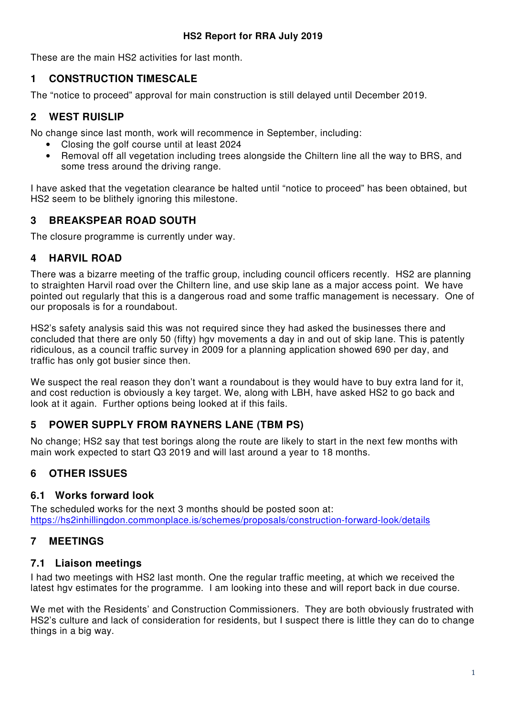These are the main HS2 activities for last month.

### **1 CONSTRUCTION TIMESCALE**

The "notice to proceed" approval for main construction is still delayed until December 2019.

# **2 WEST RUISLIP**

No change since last month, work will recommence in September, including:

- Closing the golf course until at least 2024
- Removal off all vegetation including trees alongside the Chiltern line all the way to BRS, and some tress around the driving range.

I have asked that the vegetation clearance be halted until "notice to proceed" has been obtained, but HS2 seem to be blithely ignoring this milestone.

## **3 BREAKSPEAR ROAD SOUTH**

The closure programme is currently under way.

### **4 HARVIL ROAD**

There was a bizarre meeting of the traffic group, including council officers recently. HS2 are planning to straighten Harvil road over the Chiltern line, and use skip lane as a major access point. We have pointed out regularly that this is a dangerous road and some traffic management is necessary. One of our proposals is for a roundabout.

HS2's safety analysis said this was not required since they had asked the businesses there and concluded that there are only 50 (fifty) hgv movements a day in and out of skip lane. This is patently ridiculous, as a council traffic survey in 2009 for a planning application showed 690 per day, and traffic has only got busier since then.

We suspect the real reason they don't want a roundabout is they would have to buy extra land for it, and cost reduction is obviously a key target. We, along with LBH, have asked HS2 to go back and look at it again. Further options being looked at if this fails.

# **5 POWER SUPPLY FROM RAYNERS LANE (TBM PS)**

No change; HS2 say that test borings along the route are likely to start in the next few months with main work expected to start Q3 2019 and will last around a year to 18 months.

# **6 OTHER ISSUES**

### **6.1 Works forward look**

The scheduled works for the next 3 months should be posted soon at: https://hs2inhillingdon.commonplace.is/schemes/proposals/construction-forward-look/details

# **7 MEETINGS**

### **7.1 Liaison meetings**

I had two meetings with HS2 last month. One the regular traffic meeting, at which we received the latest hgv estimates for the programme. I am looking into these and will report back in due course.

We met with the Residents' and Construction Commissioners. They are both obviously frustrated with HS2's culture and lack of consideration for residents, but I suspect there is little they can do to change things in a big way.